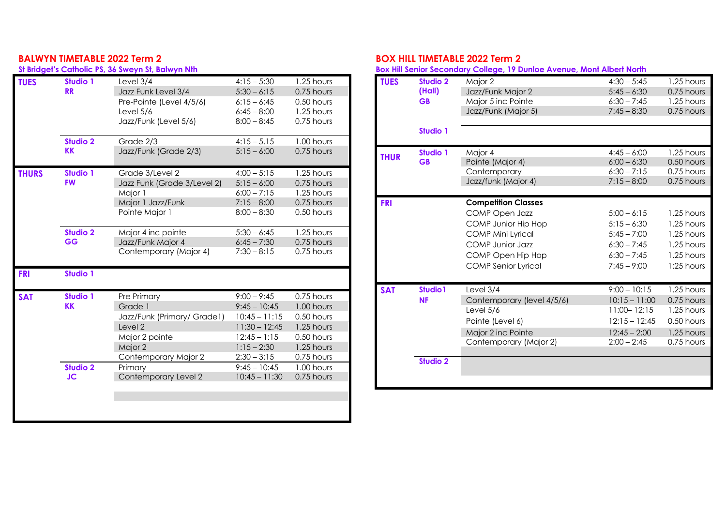## **BALWYN TIMETABLE 2022 Term 2**

### **St Bridget's Catholic PS, 36 Sweyn St, Balwyn Nth**

| <b>TUES</b>  | <b>Studio 1</b> | Level $3/4$                 | $4:15 - 5:30$   | 1.25 hours |
|--------------|-----------------|-----------------------------|-----------------|------------|
|              | <b>RR</b>       | Jazz Funk Level 3/4         | $5:30 - 6:15$   | 0.75 hours |
|              |                 | Pre-Pointe (Level 4/5/6)    | $6:15 - 6:45$   | 0.50 hours |
|              |                 | Level 5/6                   | $6:45 - 8:00$   | 1.25 hours |
|              |                 | Jazz/Funk (Level 5/6)       | $8:00 - 8:45$   | 0.75 hours |
|              |                 |                             |                 |            |
|              | <b>Studio 2</b> | Grade 2/3                   | $4:15 - 5.15$   | 1.00 hours |
|              | <b>KK</b>       | Jazz/Funk (Grade 2/3)       | $5:15 - 6:00$   | 0.75 hours |
| <b>THURS</b> | Studio 1        | Grade 3/Level 2             | $4:00 - 5:15$   | 1.25 hours |
|              | <b>FW</b>       | Jazz Funk (Grade 3/Level 2) | $5:15 - 6:00$   | 0.75 hours |
|              |                 | Major 1                     | $6:00 - 7:15$   | 1.25 hours |
|              |                 | Major 1 Jazz/Funk           | $7:15 - 8:00$   | 0.75 hours |
|              |                 | Pointe Major 1              | $8:00 - 8:30$   | 0.50 hours |
|              | <b>Studio 2</b> | Major 4 inc pointe          | $5:30 - 6:45$   | 1.25 hours |
|              | <b>GG</b>       | Jazz/Funk Major 4           | $6:45 - 7:30$   | 0.75 hours |
|              |                 | Contemporary (Major 4)      | $7:30 - 8:15$   | 0.75 hours |
|              |                 |                             |                 |            |
| <b>FRI</b>   | <b>Studio 1</b> |                             |                 |            |
|              |                 |                             |                 |            |
| <b>SAT</b>   | <b>Studio 1</b> | Pre Primary                 | $9:00 - 9:45$   | 0.75 hours |
|              | <b>KK</b>       | Grade 1                     | $9:45 - 10:45$  | 1.00 hours |
|              |                 | Jazz/Funk (Primary/ Grade1) | $10:45 - 11:15$ | 0.50 hours |
|              |                 | Level 2                     | $11:30 - 12:45$ | 1.25 hours |
|              |                 | Major 2 pointe              | $12:45 - 1:15$  | 0.50 hours |
|              |                 | Major 2                     | $1:15 - 2:30$   | 1.25 hours |
|              |                 | Contemporary Major 2        | $2:30 - 3:15$   | 0.75 hours |
|              | <b>Studio 2</b> | Primary                     | $9:45 - 10:45$  | 1.00 hours |
|              | <b>JC</b>       | Contemporary Level 2        | $10:45 - 11:30$ | 0.75 hours |
|              |                 |                             |                 |            |
|              |                 |                             |                 |            |
|              |                 |                             |                 |            |

# **BOX HILL TIMETABLE 2022 Term 2**

**Box Hill Senior Secondary College, 19 Dunloe Avenue, Mont Albert North**

| <b>TUES</b> | <b>Studio 2</b> | Major 2                    | $4:30 - 5:45$   | 1.25 hours   |
|-------------|-----------------|----------------------------|-----------------|--------------|
|             | (Hall)          | Jazz/Funk Major 2          | $5:45 - 6:30$   | 0.75 hours   |
|             | <b>GB</b>       | Major 5 inc Pointe         | $6:30 - 7:45$   | 1.25 hours   |
|             |                 | Jazz/Funk (Major 5)        | $7:45 - 8:30$   | 0.75 hours   |
|             |                 |                            |                 |              |
|             | <b>Studio 1</b> |                            |                 |              |
| <b>THUR</b> | <b>Studio 1</b> | Major 4                    | $4:45 - 6:00$   | 1.25 hours   |
|             | <b>GB</b>       | Pointe (Major 4)           | $6:00 - 6:30$   | 0.50 hours   |
|             |                 | Contemporary               | $6:30 - 7:15$   | 0.75 hours   |
|             |                 | Jazz/funk (Major 4)        | $7:15 - 8:00$   | 0.75 hours   |
|             |                 |                            |                 |              |
| <b>FRI</b>  |                 | <b>Competition Classes</b> |                 |              |
|             |                 | <b>COMP Open Jazz</b>      | $5:00 - 6:15$   | 1.25 hours   |
|             |                 | COMP Junior Hip Hop        | $5:15 - 6:30$   | 1.25 hours   |
|             |                 | <b>COMP Mini Lyrical</b>   | $5:45 - 7:00$   | 1.25 hours   |
|             |                 | <b>COMP</b> Junior Jazz    | $6:30 - 7:45$   | 1.25 hours   |
|             |                 | COMP Open Hip Hop          | $6:30 - 7:45$   | 1.25 hours   |
|             |                 | <b>COMP Senior Lyrical</b> | $7:45 - 9:00$   | $1:25$ hours |
|             |                 |                            |                 |              |
| <b>SAT</b>  | Studio1         | Level 3/4                  | $9:00 - 10:15$  | 1.25 hours   |
|             | <b>NF</b>       | Contemporary (level 4/5/6) | $10:15 - 11:00$ | 0.75 hours   |
|             |                 | Level 5/6                  | $11:00 - 12:15$ | 1.25 hours   |
|             |                 | Pointe (Level 6)           | $12:15 - 12:45$ | 0.50 hours   |
|             |                 | Major 2 inc Pointe         | $12:45 - 2:00$  | 1.25 hours   |
|             |                 | Contemporary (Major 2)     | $2:00 - 2:45$   | 0.75 hours   |
|             |                 |                            |                 |              |
|             | <b>Studio 2</b> |                            |                 |              |
|             |                 |                            |                 |              |